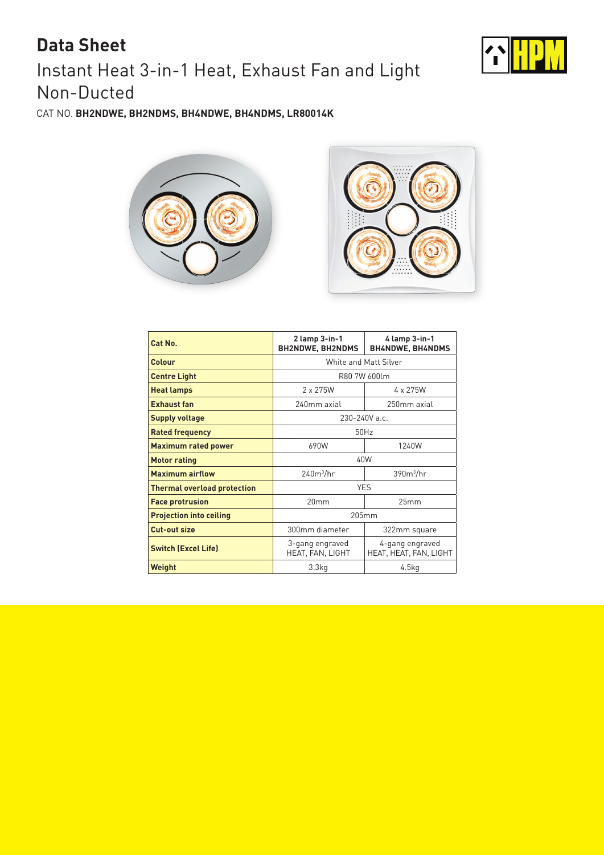## Instant Heat 3-in-1 Heat, Exhaust Fan and Light Non-Ducted **Data Sheet**



CAT NO. **BH2NDWE, BH2NDMS, BH4NDWE, BH4NDMS, LR80014K**





| Cat No.                            | $2$ lamp $3$ -in-1<br><b>BH2NDWE, BH2NDMS</b> | 4 lamp 3-in-1<br><b>BH4NDWE, BH4NDMS</b>  |
|------------------------------------|-----------------------------------------------|-------------------------------------------|
| Colour                             | White and Matt Silver                         |                                           |
| <b>Centre Light</b>                | R80 7W 600lm                                  |                                           |
| <b>Heat lamps</b>                  | $2 \times 275W$                               | 4 x 275W                                  |
| <b>Exhaust fan</b>                 | 240mm axial                                   | 250mm axial                               |
| <b>Supply voltage</b>              | 230-240V a.c.                                 |                                           |
| <b>Rated frequency</b>             | 50Hz                                          |                                           |
| <b>Maximum rated power</b>         | 690W                                          | 1240W                                     |
| <b>Motor rating</b>                | 40W                                           |                                           |
| <b>Maximum airflow</b>             | $240m^3/hr$                                   | $390m^3/hr$                               |
| <b>Thermal overload protection</b> | <b>YES</b>                                    |                                           |
| <b>Face protrusion</b>             | 20mm                                          | 25mm                                      |
| <b>Projection into ceiling</b>     | 205mm                                         |                                           |
| <b>Cut-out size</b>                | 300mm diameter                                | 322mm square                              |
| <b>Switch (Excel Life)</b>         | 3-gang engraved<br>HEAT, FAN, LIGHT           | 4-gang engraved<br>HEAT, HEAT, FAN, LIGHT |
| Weight                             | 3.3 <sub>kq</sub>                             | 4.5kg                                     |